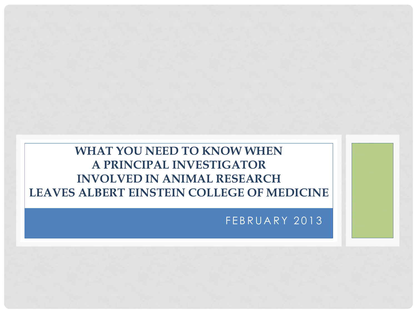**WHAT YOU NEED TO KNOW WHEN A PRINCIPAL INVESTIGATOR INVOLVED IN ANIMAL RESEARCH LEAVES ALBERT EINSTEIN COLLEGE OF MEDICINE**

**FEBRUARY 2013**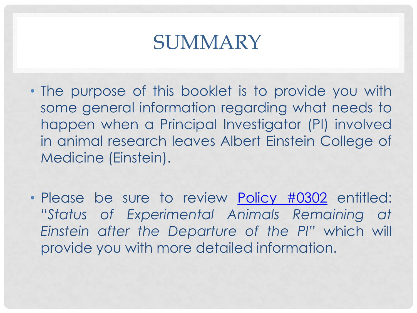## **SUMMARY**

- The purpose of this booklet is to provide you with some general information regarding what needs to happen when a Principal Investigator (PI) involved in animal research leaves Albert Einstein College of Medicine (Einstein).
- Please be sure to review [Policy](http://www.einstein.yu.edu/administration/animal-care-use-committee/policy-development/status-of-experimental-animals-remaining-at-einstein-after-the-departure-of-the-principal-investigator.aspx) [#0302](http://www.einstein.yu.edu/administration/animal-care-use-committee/policy-development/status-of-experimental-animals-remaining-at-einstein-after-the-departure-of-the-principal-investigator.aspx) entitled: "*Status of Experimental Animals Remaining at Einstein after the Departure of the PI"* which will provide you with more detailed information.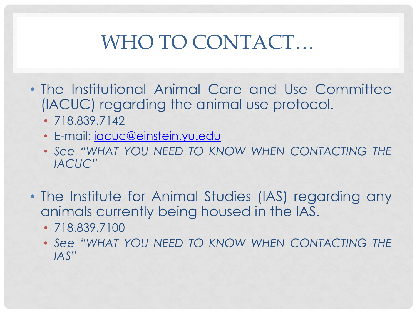## WHO TO CONTACT…

- The Institutional Animal Care and Use Committee (IACUC) regarding the animal use protocol.
	- 718.839.7142
	- E-mail: [iacuc@einstein.yu.edu](mailto:iacuc@einstein.yu.edu)
	- *See "WHAT YOU NEED TO KNOW WHEN CONTACTING THE IACUC"*
- The Institute for Animal Studies (IAS) regarding any animals currently being housed in the IAS.
	- 718.839.7100
	- *See "WHAT YOU NEED TO KNOW WHEN CONTACTING THE IAS"*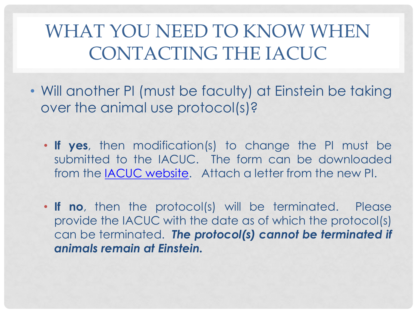## WHAT YOU NEED TO KNOW WHEN CONTACTING THE IACUC

- Will another PI (must be faculty) at Einstein be taking over the animal use protocol(s)?
	- **If yes**, then modification(s) to change the PI must be submitted to the IACUC. The form can be downloaded from the **[IACUC](http://www.einstein.yu.edu/administration/animal-care-use-committee/training/face-to-face-training.aspx)** [website](http://www.einstein.yu.edu/administration/animal-care-use-committee/training/face-to-face-training.aspx). Attach a letter from the new PI.
	- **If no**, then the protocol(s) will be terminated. Please provide the IACUC with the date as of which the protocol(s) can be terminated. *The protocol(s) cannot be terminated if animals remain at Einstein.*